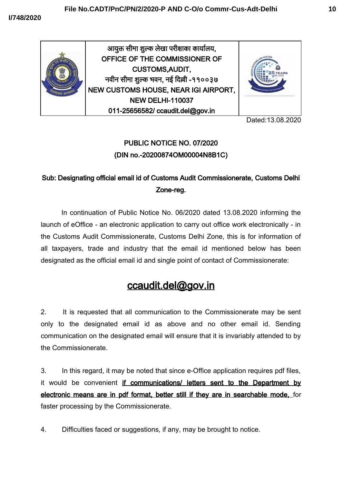

Dated:13.08.2020

## PUBLIC NOTICE NO. 07/2020 (DIN no.-20200874OM00004N8B1C)

## Sub: Designating official email id of Customs Audit Commissionerate, Customs Delhi Zone-reg.

In continuation of Public Notice No. 06/2020 dated 13.08.2020 informing the launch of eOffice - an electronic application to carry out office work electronically - in the Customs Audit Commissionerate, Customs Delhi Zone, this is for information of all taxpayers, trade and industry that the email id mentioned below has been designated as the official email id and single point of contact of Commissionerate:

## ccaudit.del@gov.in

2. It is requested that all communication to the Commissionerate may be sent only to the designated email id as above and no other email id. Sending communication on the designated email will ensure that it is invariably attended to by the Commissionerate.

3. In this regard, it may be noted that since e-Office application requires pdf files, it would be convenient if communications/ letters sent to the Department by electronic means are in pdf format, better still if they are in searchable mode, for faster processing by the Commissionerate.

4. Difficulties faced or suggestions, if any, may be brought to notice.